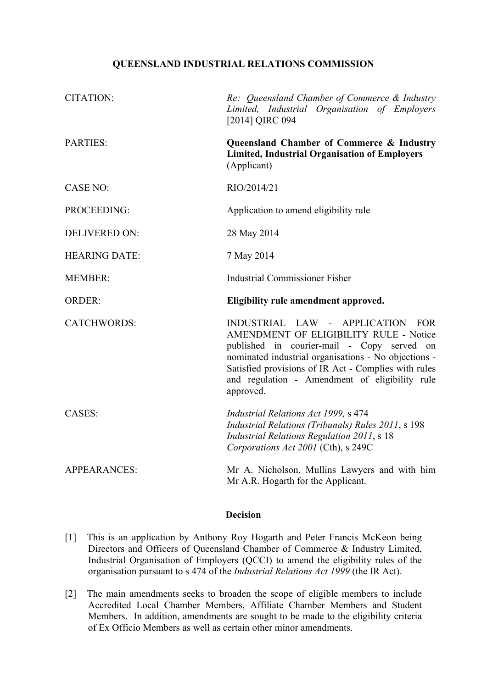## **QUEENSLAND INDUSTRIAL RELATIONS COMMISSION**

| <b>CITATION:</b>     | Re: Queensland Chamber of Commerce & Industry<br>Limited, Industrial Organisation of Employers<br>[2014] QIRC 094                                                                                                                                                                                       |
|----------------------|---------------------------------------------------------------------------------------------------------------------------------------------------------------------------------------------------------------------------------------------------------------------------------------------------------|
| <b>PARTIES:</b>      | Queensland Chamber of Commerce & Industry<br><b>Limited, Industrial Organisation of Employers</b><br>(Applicant)                                                                                                                                                                                        |
| <b>CASE NO:</b>      | RIO/2014/21                                                                                                                                                                                                                                                                                             |
| PROCEEDING:          | Application to amend eligibility rule                                                                                                                                                                                                                                                                   |
| <b>DELIVERED ON:</b> | 28 May 2014                                                                                                                                                                                                                                                                                             |
| <b>HEARING DATE:</b> | 7 May 2014                                                                                                                                                                                                                                                                                              |
| <b>MEMBER:</b>       | <b>Industrial Commissioner Fisher</b>                                                                                                                                                                                                                                                                   |
|                      |                                                                                                                                                                                                                                                                                                         |
| <b>ORDER:</b>        | Eligibility rule amendment approved.                                                                                                                                                                                                                                                                    |
| <b>CATCHWORDS:</b>   | INDUSTRIAL LAW - APPLICATION FOR<br>AMENDMENT OF ELIGIBILITY RULE - Notice<br>published in courier-mail - Copy served on<br>nominated industrial organisations - No objections -<br>Satisfied provisions of IR Act - Complies with rules<br>and regulation - Amendment of eligibility rule<br>approved. |
| <b>CASES:</b>        | Industrial Relations Act 1999, s 474<br>Industrial Relations (Tribunals) Rules 2011, s 198<br><b>Industrial Relations Regulation 2011, s 18</b><br>Corporations Act 2001 (Cth), s 249C                                                                                                                  |

## **Decision**

- [1] This is an application by Anthony Roy Hogarth and Peter Francis McKeon being Directors and Officers of Queensland Chamber of Commerce & Industry Limited, Industrial Organisation of Employers (QCCI) to amend the eligibility rules of the organisation pursuant to s 474 of the *Industrial Relations Act 1999* (the IR Act).
- [2] The main amendments seeks to broaden the scope of eligible members to include Accredited Local Chamber Members, Affiliate Chamber Members and Student Members. In addition, amendments are sought to be made to the eligibility criteria of Ex Officio Members as well as certain other minor amendments.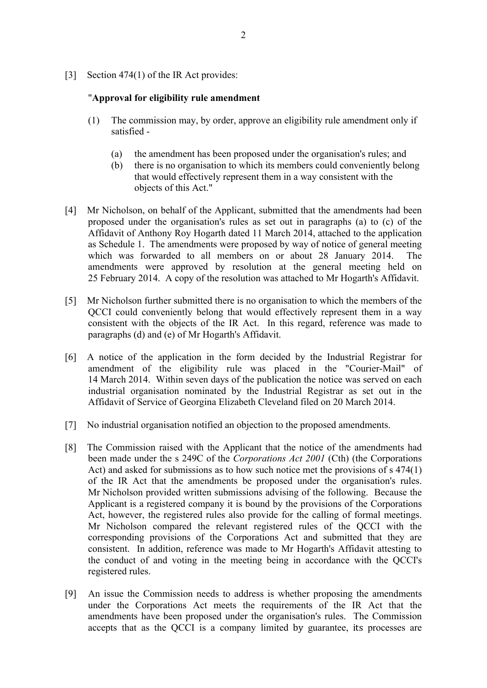[3] Section 474(1) of the IR Act provides:

## "**Approval for eligibility rule amendment**

- (1) The commission may, by order, approve an eligibility rule amendment only if satisfied -
	- (a) the amendment has been proposed under the organisation's rules; and
	- (b) there is no organisation to which its members could conveniently belong that would effectively represent them in a way consistent with the objects of this Act."
- [4] Mr Nicholson, on behalf of the Applicant, submitted that the amendments had been proposed under the organisation's rules as set out in paragraphs (a) to (c) of the Affidavit of Anthony Roy Hogarth dated 11 March 2014, attached to the application as Schedule 1. The amendments were proposed by way of notice of general meeting which was forwarded to all members on or about 28 January 2014. The amendments were approved by resolution at the general meeting held on 25 February 2014. A copy of the resolution was attached to Mr Hogarth's Affidavit.
- [5] Mr Nicholson further submitted there is no organisation to which the members of the QCCI could conveniently belong that would effectively represent them in a way consistent with the objects of the IR Act. In this regard, reference was made to paragraphs (d) and (e) of Mr Hogarth's Affidavit.
- [6] A notice of the application in the form decided by the Industrial Registrar for amendment of the eligibility rule was placed in the "Courier-Mail" of 14 March 2014. Within seven days of the publication the notice was served on each industrial organisation nominated by the Industrial Registrar as set out in the Affidavit of Service of Georgina Elizabeth Cleveland filed on 20 March 2014.
- [7] No industrial organisation notified an objection to the proposed amendments.
- [8] The Commission raised with the Applicant that the notice of the amendments had been made under the s 249C of the *Corporations Act 2001* (Cth) (the Corporations Act) and asked for submissions as to how such notice met the provisions of s 474(1) of the IR Act that the amendments be proposed under the organisation's rules. Mr Nicholson provided written submissions advising of the following. Because the Applicant is a registered company it is bound by the provisions of the Corporations Act, however, the registered rules also provide for the calling of formal meetings. Mr Nicholson compared the relevant registered rules of the QCCI with the corresponding provisions of the Corporations Act and submitted that they are consistent. In addition, reference was made to Mr Hogarth's Affidavit attesting to the conduct of and voting in the meeting being in accordance with the QCCI's registered rules.
- [9] An issue the Commission needs to address is whether proposing the amendments under the Corporations Act meets the requirements of the IR Act that the amendments have been proposed under the organisation's rules. The Commission accepts that as the QCCI is a company limited by guarantee, its processes are